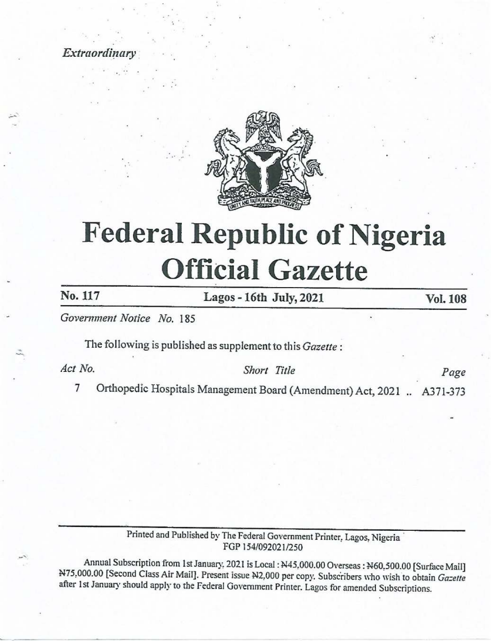**Extraordinary** 



# Federal Republic of Nigeria Official Gazette Extraordinary<br>
No. 117<br>
Rederal Republic of Nigeria<br>
Official Gazette **Printed and Published by The Federal Government Printer, Lagos 16th Supplement Don'd (Amendment) Act, 2021**<br>
The following is published as supplement to this *Gazette*<br>
7 Orthopedic Hospitals Management Board (Amendment)

Government Notice No, 185

The following is published as supplement to this Gazette :

Act No. 5hort Title Page

7 Orthopedic Hospitals Management Board (Amendment) Act, 2021 .. A371-373

Printed and Published by The Federal Government Printer, Lagos, Nigeria<br>FGP 154/092021/250

d by The Federal<br>FGP 154/09.<br>nuary, 2021 is Loc<br>Present issue N2, C<br>ederal Governmer Annual Subscription from 1st January, 2021 is Local : N45,000.00 Overseas : N60,500.00 [Surface Mail]<br>N75,000.00 [Second Class Air Mail]. Present issue N2,000 per copy. Subscribers who wish to obtain *Gazette*<br>after 1st Ja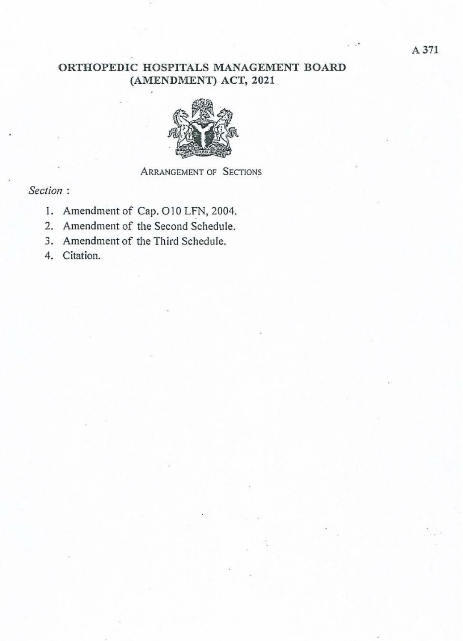## ORTHOPEDIC HOSPITALS MANAGEMENT BOARD (AMENDMENT) ACT, 2021



# ARRANGEMENT OF SECTIONS

### Section :

- 1. Amendment of Cap. O10 LFN, 2004.
- 2. Amendment of the Second Schedule.  $\frac{1}{2}$
- 3. Amendment of the Third Schedule.
- 4. Citation.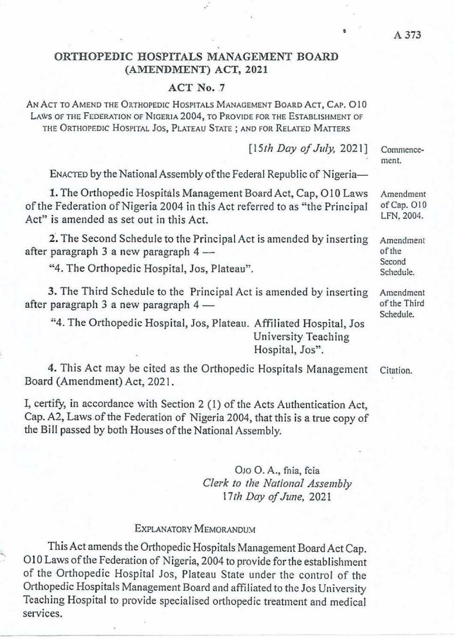### ORTHOPEDIC HOSPITALS MANAGEMENT BOARD (AMENDMENT) ACT, 2021

### ACT No. 7

AN ACT TO AMEND THE ORTHOPEDIC HOSPITALS MANAGEMENT Boarb AcT, Cap. O10 LAWS OF THE FEDERATION OF NIGERIA 2004, TO PROVIDE FOR THE ESTABLISHMENT OF THE ORTHOPEDIC Hospitat Jos, PLATEAU STATE ; AND FOR RELATED MATTERS

[15th Day of July, 2021] ENACTED by the National Assembly of the Federal Republic of Nigeria-1. The Orthopedic Hospitals Management Board Act, Cap, O10 Laws of the Federation of Nigeria 2004 in this Act referred to as "the Principal Act" is amended as set out in this Act. 2. The Second Schedule to the Principal Act is amended by inserting after paragraph 3 a new paragraph 4 — "4, The Orthopedic Hospital, Jos, Plateau". 3. The Third Schedule to the Principal Act is amended by inserting after paragraph 3 a new paragraph 4 — "4. The Orthopedic Hospital, Jos, Plateau. Affiliated Hospital, Jos University Teaching Hospital, Jos". Commencement, Amendment of Cap. O10 LFN, 2004. Amendment of the Second Schedule. Amendment of the Third Schedule.

4. This Act may be cited as the Orthopedic Hospitals Management Board (Amendment) Act, 2021.

I, certify, in accordance with Section 2 (1) of the Acts Authentication Act, Cap. A2, Laws of the Federation of Nigeria 2004, that this is a true copy of the Bill passed by both Houses of the National Assembly.

> Ojo O. A., fnia, feia Clerk to the National Assembly l7th Day of June, 2021

### EXPLANATORY MEMORANDUM

This Act amends the Orthopedic Hospitals Management Board Act Cap. O10 Laws of the Federation of Nigeria, 2004 to provide for the establishment of the Orthopedic Hospital Jos, Plateau State under the control of the Orthopedic Hospitals Management Board and affiliated to the Jos University Teaching Hospital to provide specialised orthopedic treatment and medical services.

A 373

Citation.